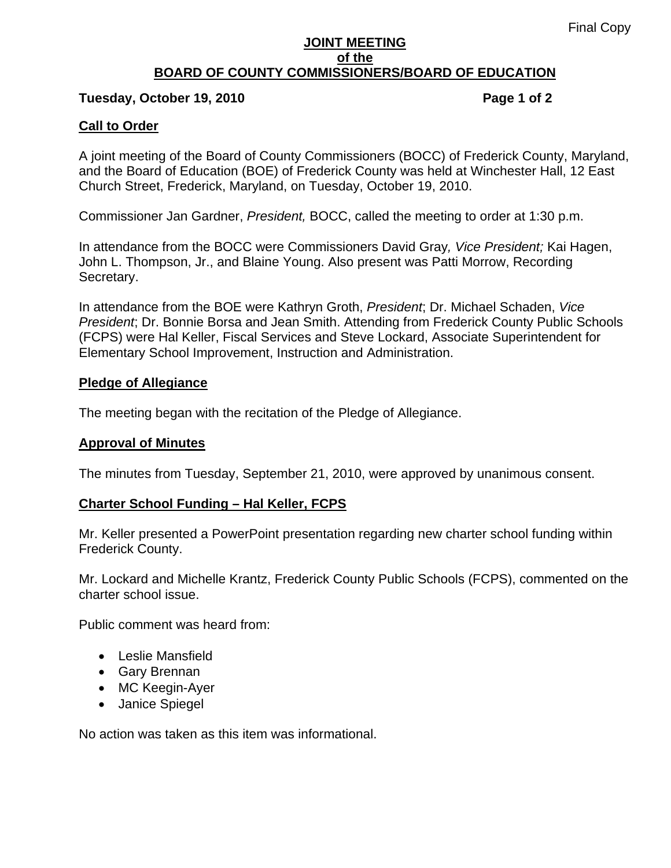### **JOINT MEETING of the BOARD OF COUNTY COMMISSIONERS/BOARD OF EDUCATION**

## Tuesday, October 19, 2010 **Page 1 of 2 Page 1 of 2**

# **Call to Order**

A joint meeting of the Board of County Commissioners (BOCC) of Frederick County, Maryland, and the Board of Education (BOE) of Frederick County was held at Winchester Hall, 12 East Church Street, Frederick, Maryland, on Tuesday, October 19, 2010.

Commissioner Jan Gardner, *President,* BOCC, called the meeting to order at 1:30 p.m.

In attendance from the BOCC were Commissioners David Gray*, Vice President;* Kai Hagen, John L. Thompson, Jr., and Blaine Young. Also present was Patti Morrow, Recording Secretary.

In attendance from the BOE were Kathryn Groth, *President*; Dr. Michael Schaden, *Vice President*; Dr. Bonnie Borsa and Jean Smith. Attending from Frederick County Public Schools (FCPS) were Hal Keller, Fiscal Services and Steve Lockard, Associate Superintendent for Elementary School Improvement, Instruction and Administration.

## **Pledge of Allegiance**

The meeting began with the recitation of the Pledge of Allegiance.

## **Approval of Minutes**

The minutes from Tuesday, September 21, 2010, were approved by unanimous consent.

# **Charter School Funding – Hal Keller, FCPS**

Mr. Keller presented a PowerPoint presentation regarding new charter school funding within Frederick County.

Mr. Lockard and Michelle Krantz, Frederick County Public Schools (FCPS), commented on the charter school issue.

Public comment was heard from:

- Leslie Mansfield
- Gary Brennan
- MC Keegin-Ayer
- Janice Spiegel

No action was taken as this item was informational.